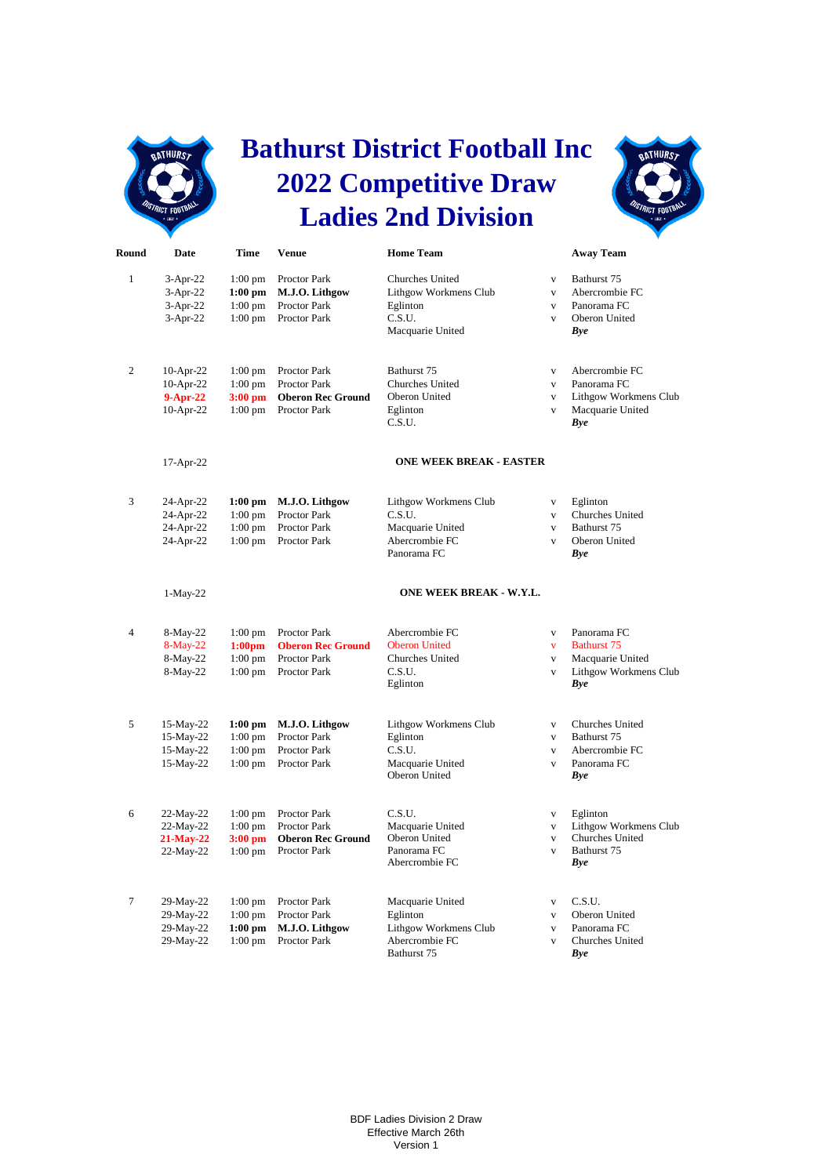

## **Bathurst District Football Inc 2022 Competitive Draw Ladies 2nd Division**



| Round          | Date                                                 | Time                                                      | <b>Venue</b>                                                                    | <b>Home Team</b>                                                                          |                                                                         | <b>Away Team</b>                                                                      |
|----------------|------------------------------------------------------|-----------------------------------------------------------|---------------------------------------------------------------------------------|-------------------------------------------------------------------------------------------|-------------------------------------------------------------------------|---------------------------------------------------------------------------------------|
| $\mathbf{1}$   | $3-Apr-22$<br>$3-Apr-22$<br>$3-Apr-22$<br>$3-Apr-22$ | $1:00$ pm<br>$1:00$ pm<br>$1:00$ pm<br>$1:00$ pm          | Proctor Park<br>M.J.O. Lithgow<br>Proctor Park<br>Proctor Park                  | <b>Churches United</b><br>Lithgow Workmens Club<br>Eglinton<br>C.S.U.<br>Macquarie United | $\mathbf{V}$<br>$\mathbf{V}$<br>$\mathbf{V}$<br>$\mathbf{V}$            | Bathurst 75<br>Abercrombie FC<br>Panorama FC<br>Oberon United<br>Bye                  |
| 2              | 10-Apr-22<br>10-Apr-22<br>$9-Apr-22$<br>10-Apr-22    | $1:00$ pm<br>$1:00$ pm<br>$3:00$ pm<br>$1:00$ pm          | Proctor Park<br><b>Proctor Park</b><br><b>Oberon Rec Ground</b><br>Proctor Park | Bathurst 75<br><b>Churches United</b><br>Oberon United<br>Eglinton<br>C.S.U.              | $\mathbf{V}$<br>$\mathbf{V}$<br>$\mathbf{V}$<br>$\mathbf{V}$            | Abercrombie FC<br>Panorama FC<br>Lithgow Workmens Club<br>Macquarie United<br>Bye     |
|                | 17-Apr-22                                            |                                                           |                                                                                 | <b>ONE WEEK BREAK - EASTER</b>                                                            |                                                                         |                                                                                       |
| 3              | 24-Apr-22<br>24-Apr-22<br>24-Apr-22<br>24-Apr-22     | $1:00$ pm<br>$1:00$ pm<br>$1:00$ pm<br>$1:00$ pm          | M.J.O. Lithgow<br>Proctor Park<br>Proctor Park<br>Proctor Park                  | Lithgow Workmens Club<br>C.S.U.<br>Macquarie United<br>Abercrombie FC<br>Panorama FC      | $\mathbf{V}$<br>$\mathbf{V}$<br>$\mathbf{V}$<br>$\overline{\mathbf{V}}$ | Eglinton<br>Churches United<br>Bathurst 75<br>Oberon United<br>Bye                    |
|                | $1-May-22$                                           |                                                           |                                                                                 | ONE WEEK BREAK - W.Y.L.                                                                   |                                                                         |                                                                                       |
| $\overline{4}$ | 8-May-22<br>$8-May-22$<br>8-May-22<br>8-May-22       | $1:00$ pm<br>1:00 <sub>pm</sub><br>$1:00$ pm<br>$1:00$ pm | Proctor Park<br><b>Oberon Rec Ground</b><br>Proctor Park<br>Proctor Park        | Abercrombie FC<br><b>Oberon United</b><br>Churches United<br>C.S.U.<br>Eglinton           | $\mathbf{V}$<br>$\mathbf{V}$<br>$\mathbf{V}$<br>$\mathbf{V}$            | Panorama FC<br><b>Bathurst 75</b><br>Macquarie United<br>Lithgow Workmens Club<br>Bye |
| 5              | 15-May-22<br>15-May-22<br>15-May-22<br>15-May-22     | $1:00$ pm<br>$1:00$ pm<br>$1:00$ pm<br>$1:00 \text{ pm}$  | M.J.O. Lithgow<br>Proctor Park<br>Proctor Park<br>Proctor Park                  | Lithgow Workmens Club<br>Eglinton<br>C.S.U.<br>Macquarie United<br>Oberon United          | $\mathbf{V}$<br>$\mathbf{V}$<br>$\mathbf{V}$<br>$\mathbf{V}$            | Churches United<br>Bathurst 75<br>Abercrombie FC<br>Panorama FC<br>Bye                |
| 6              | 22-May-22<br>$22-May-22$<br>21-May-22<br>22-May-22   | $1:00$ pm<br>$1:00$ pm<br>$3:00$ pm<br>$1:00 \text{ pm}$  | Proctor Park<br><b>Proctor Park</b><br><b>Oberon Rec Ground</b><br>Proctor Park | C.S.U.<br>Macquarie United<br>Oberon United<br>Panorama FC<br>Abercrombie FC              | $\mathbf{V}$<br>$\mathbf{V}$<br>$\mathbf{V}$<br>$\mathbf{V}$            | Eglinton<br>Lithgow Workmens Club<br>Churches United<br>Bathurst 75<br>Bye            |
| $\overline{7}$ | 29-May-22<br>29-May-22<br>29-May-22<br>29-May-22     | $1:00$ pm<br>$1:00$ pm<br>$1:00$ pm<br>$1:00$ pm          | Proctor Park<br>Proctor Park<br>M.J.O. Lithgow<br>Proctor Park                  | Macquarie United<br>Eglinton<br>Lithgow Workmens Club<br>Abercrombie FC                   | $\mathbf{V}$<br>$\mathbf{V}$<br>$\overline{V}$<br>$\mathbf{V}$          | C.S.U.<br>Oberon United<br>Panorama FC<br>Churches United                             |

Bathurst 75 *Bye*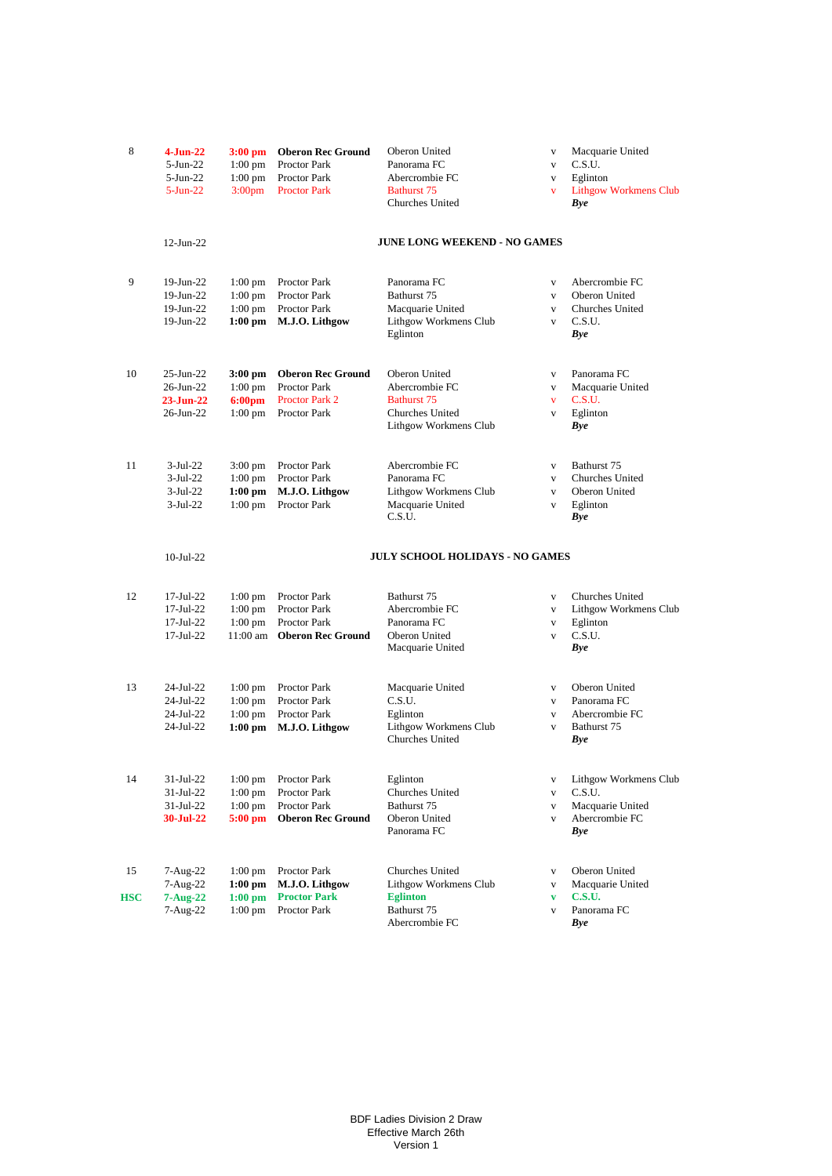| 8   | $4-Jun-22$      | $3:00$ pm          | <b>Oberon Rec Ground</b> | Oberon United                                   | $\mathbf V$  | Macquarie United             |
|-----|-----------------|--------------------|--------------------------|-------------------------------------------------|--------------|------------------------------|
|     | $5$ -Jun-22     | $1:00$ pm          | Proctor Park             | Panorama FC                                     | $\mathbf{V}$ | C.S.U.                       |
|     | $5$ -Jun-22     | $1:00 \text{ pm}$  | Proctor Park             | Abercrombie FC                                  | V            | Eglinton                     |
|     | $5 - Jun-22$    | 3:00 <sub>pm</sub> | <b>Proctor Park</b>      | Bathurst 75                                     | v            | <b>Lithgow Workmens Club</b> |
|     |                 |                    |                          | <b>Churches United</b>                          |              | Bye                          |
|     |                 |                    |                          | <b>JUNE LONG WEEKEND - NO GAMES</b>             |              |                              |
|     | $12$ -Jun-22    |                    |                          |                                                 |              |                              |
| 9   | 19-Jun-22       | $1:00$ pm          | Proctor Park             | Panorama FC                                     | V            | Abercrombie FC               |
|     | 19-Jun-22       | $1:00 \text{ pm}$  | <b>Proctor Park</b>      | Bathurst 75                                     | V            | Oberon United                |
|     | 19-Jun-22       | $1:00 \text{ pm}$  | <b>Proctor Park</b>      | Macquarie United                                | V            | <b>Churches United</b>       |
|     | 19-Jun-22       | $1:00$ pm          | M.J.O. Lithgow           | Lithgow Workmens Club<br>Eglinton               | V            | C.S.U.<br><b>Bye</b>         |
| 10  | $25$ -Jun- $22$ | 3:00 pm            | <b>Oberon Rec Ground</b> | Oberon United                                   | V            | Panorama FC                  |
|     | 26-Jun-22       | $1:00 \text{ pm}$  | <b>Proctor Park</b>      | Abercrombie FC                                  | V            | Macquarie United             |
|     | $23-Jun-22$     | 6:00 <sub>pm</sub> | <b>Proctor Park 2</b>    | Bathurst 75                                     | v            | C.S.U.                       |
|     | 26-Jun-22       | $1:00 \text{ pm}$  | Proctor Park             | Churches United                                 | V            | Eglinton                     |
|     |                 |                    |                          | Lithgow Workmens Club                           |              | Bye                          |
| 11  | $3-Jul-22$      | $3:00 \text{ pm}$  | Proctor Park             | Abercrombie FC                                  | $\mathbf V$  | Bathurst 75                  |
|     | $3-Jul-22$      | $1:00$ pm          | Proctor Park             | Panorama FC                                     | V            | <b>Churches United</b>       |
|     | $3-Jul-22$      | $1:00$ pm          | M.J.O. Lithgow           | Lithgow Workmens Club                           | V            | Oberon United                |
|     | $3-Jul-22$      | $1:00$ pm          | Proctor Park             | Macquarie United                                | V            | Eglinton                     |
|     |                 |                    |                          | C.S.U.                                          |              | <b>Bye</b>                   |
|     | $10-Jul-22$     |                    |                          | <b>JULY SCHOOL HOLIDAYS - NO GAMES</b>          |              |                              |
| 12  | 17-Jul-22       | $1:00 \text{ pm}$  | Proctor Park             | Bathurst 75                                     | V            | <b>Churches United</b>       |
|     | 17-Jul-22       | $1:00$ pm          | Proctor Park             | Abercrombie FC                                  | V            | Lithgow Workmens Club        |
|     | 17-Jul-22       | $1:00 \text{ pm}$  | Proctor Park             | Panorama FC                                     | V            | Eglinton                     |
|     | 17-Jul-22       | $11:00$ am         | <b>Oberon Rec Ground</b> | Oberon United                                   | $\mathbf V$  | C.S.U.                       |
|     |                 |                    |                          | Macquarie United                                |              | <b>Bye</b>                   |
| 13  | 24-Jul-22       | $1:00$ pm          | Proctor Park             | Macquarie United                                | V            | Oberon United                |
|     | 24-Jul-22       | $1:00 \text{ pm}$  | <b>Proctor Park</b>      | C.S.U.                                          | $\mathbf{V}$ | Panorama FC                  |
|     | 24-Jul-22       | $1:00 \text{ pm}$  | <b>Proctor Park</b>      | Eglinton                                        | V            | Abercrombie FC               |
|     | 24-Jul-22       | $1:00$ pm          | M.J.O. Lithgow           | Lithgow Workmens Club<br><b>Churches United</b> | V            | Bathurst 75<br><b>Bye</b>    |
| 14  | 31-Jul-22       | $1:00$ pm          | Proctor Park             | Eglinton                                        | $\mathbf{V}$ | Lithgow Workmens Club        |
|     | 31-Jul-22       | $1:00$ pm          | Proctor Park             | Churches United                                 | V            | C.S.U.                       |
|     | 31-Jul-22       | $1:00$ pm          | Proctor Park             | Bathurst 75                                     | V            | Macquarie United             |
|     | 30-Jul-22       | $5:00$ pm          | <b>Oberon Rec Ground</b> | Oberon United<br>Panorama FC                    | V            | Abercrombie FC<br>Bye        |
| 15  | 7-Aug-22        | $1:00 \text{ pm}$  | Proctor Park             | Churches United                                 | V            | Oberon United                |
|     | 7-Aug-22        | $1:00$ pm          | M.J.O. Lithgow           | Lithgow Workmens Club                           | $\mathbf V$  | Macquarie United             |
| HSC | $7 - Aug-22$    | $1:00$ pm          | <b>Proctor Park</b>      | <b>Eglinton</b>                                 | v            | <b>C.S.U.</b>                |
|     | 7-Aug-22        | $1:00$ pm          | Proctor Park             | Bathurst 75<br>Abercrombie FC                   | V            | Panorama FC                  |
|     |                 |                    |                          |                                                 |              | <b>Bye</b>                   |